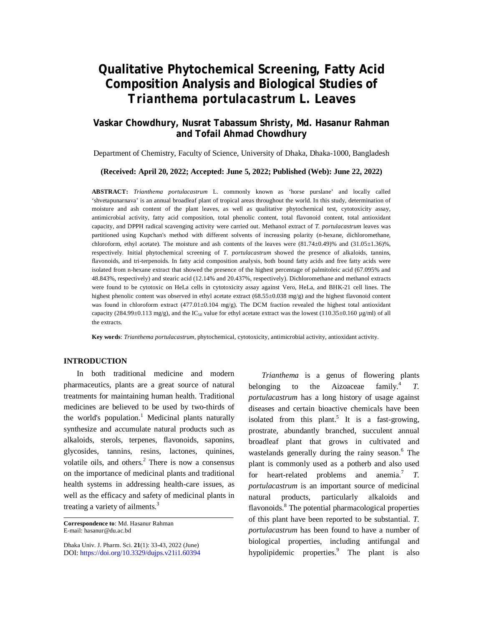# **Qualitative Phytochemical Screening, Fatty Acid Composition Analysis and Biological Studies of**  *Trianthema portulacastrum* **L. Leaves**

# **Vaskar Chowdhury, Nusrat Tabassum Shristy, Md. Hasanur Rahman and Tofail Ahmad Chowdhury**

Department of Chemistry, Faculty of Science, University of Dhaka, Dhaka-1000, Bangladesh

### **(Received: April 20, 2022; Accepted: June 5, 2022; Published (Web): June 22, 2022)**

**ABSTRACT:** *Trianthema portulacastrum* L. commonly known as 'horse purslane' and locally called 'shvetapunarnava' is an annual broadleaf plant of tropical areas throughout the world. In this study, determination of moisture and ash content of the plant leaves, as well as qualitative phytochemical test, cytotoxicity assay, antimicrobial activity, fatty acid composition, total phenolic content, total flavonoid content, total antioxidant capacity, and DPPH radical scavenging activity were carried out. Methanol extract of *T. portulacastrum* leaves was partitioned using Kupchan's method with different solvents of increasing polarity (*n*-hexane, dichloromethane, chloroform, ethyl acetate). The moisture and ash contents of the leaves were (81.74±0.49)% and (31.05±1.36)%, respectively. Initial phytochemical screening of *T. portulacastrum* showed the presence of alkaloids, tannins, flavonoids, and tri-terpenoids. In fatty acid composition analysis, both bound fatty acids and free fatty acids were isolated from n-hexane extract that showed the presence of the highest percentage of palmitoleic acid (67.095% and 48.843%, respectively) and stearic acid (12.14% and 20.437%, respectively). Dichloromethane and methanol extracts were found to be cytotoxic on HeLa cells in cytotoxicity assay against Vero, HeLa, and BHK-21 cell lines. The highest phenolic content was observed in ethyl acetate extract (68.55±0.038 mg/g) and the highest flavonoid content was found in chloroform extract  $(477.01\pm0.104 \text{ mg/g})$ . The DCM fraction revealed the highest total antioxidant capacity (284.99±0.113 mg/g), and the IC<sub>50</sub> value for ethyl acetate extract was the lowest (110.35±0.160 µg/ml) of all the extracts.

**Key words**: *Trianthema portulacastrum*, phytochemical, cytotoxicity, antimicrobial activity, antioxidant activity.

# **INTRODUCTION**

In both traditional medicine and modern pharmaceutics, plants are a great source of natural treatments for maintaining human health. Traditional medicines are believed to be used by two-thirds of the world's population. <sup>1</sup> Medicinal plants naturally synthesize and accumulate natural products such as alkaloids, sterols, terpenes, flavonoids, saponins, glycosides, tannins, resins, lactones, quinines, volatile oils, and others. $<sup>2</sup>$  There is now a consensus</sup> on the importance of medicinal plants and traditional health systems in addressing health-care issues, as well as the efficacy and safety of medicinal plants in treating a variety of ailments.<sup>3</sup>

Dhaka Univ. J. Pharm. Sci. **21**(1): 33-43, 2022 (June) DOI:<https://doi.org/10.3329/dujps.v21i1.60394>

*Trianthema* is a genus of flowering plants belonging to the Aizoaceae  $family.<sup>4</sup>$ *T. portulacastrum* has a long history of usage against diseases and certain bioactive chemicals have been isolated from this plant.<sup>5</sup> It is a fast-growing, prostrate, abundantly branched, succulent annual broadleaf plant that grows in cultivated and wastelands generally during the rainy season. <sup>6</sup> The plant is commonly used as a potherb and also used for heart-related problems and anemia.<sup>7</sup> T. *portulacastrum* is an important source of medicinal natural products, particularly alkaloids and flavonoids.<sup>8</sup> The potential pharmacological properties of this plant have been reported to be substantial. *T. portulacastrum* has been found to have a number of biological properties, including antifungal and hypolipidemic properties.<sup>9</sup> The plant is also

**Correspondence to**: Md. Hasanur Rahman E-mail: [hasanur@du.ac.bd](mailto:hasanur@du.ac.bd)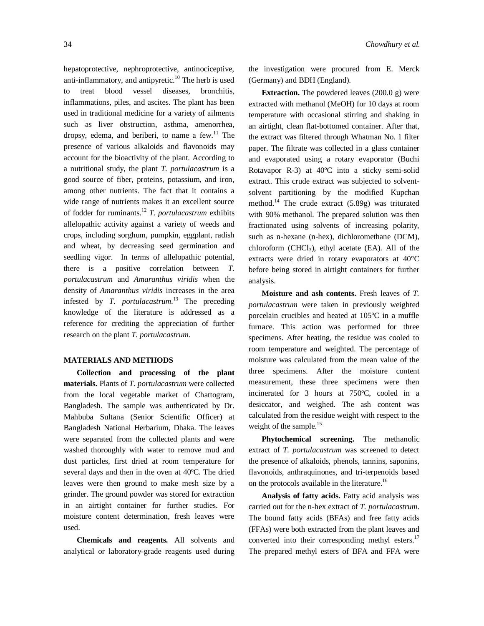hepatoprotective, nephroprotective, antinociceptive, anti-inflammatory, and antipyretic. <sup>10</sup> The herb is used to treat blood vessel diseases, bronchitis, inflammations, piles, and ascites. The plant has been used in traditional medicine for a variety of ailments such as liver obstruction, asthma, amenorrhea, dropsy, edema, and beriberi, to name a few.<sup>11</sup> The presence of various alkaloids and flavonoids may account for the bioactivity of the plant. According to a nutritional study, the plant *T. portulacastrum* is a good source of fiber, proteins, potassium, and iron, among other nutrients. The fact that it contains a wide range of nutrients makes it an excellent source of fodder for ruminants.<sup>12</sup> *T. portulacastrum* exhibits allelopathic activity against a variety of weeds and crops, including sorghum, pumpkin, eggplant, radish and wheat, by decreasing seed germination and seedling vigor. In terms of allelopathic potential, there is a positive correlation between *T. portulacastrum* and *Amaranthus viridis* when the density of *Amaranthus viridis* increases in the area infested by *T. portulacastrum*. <sup>13</sup> The preceding knowledge of the literature is addressed as a reference for crediting the appreciation of further research on the plant *T. portulacastrum*.

## **MATERIALS AND METHODS**

**Collection and processing of the plant materials.** Plants of *T. portulacastrum* were collected from the local vegetable market of Chattogram, Bangladesh. The sample was authenticated by Dr. Mahbuba Sultana (Senior Scientific Officer) at Bangladesh National Herbarium, Dhaka. The leaves were separated from the collected plants and were washed thoroughly with water to remove mud and dust particles, first dried at room temperature for several days and then in the oven at 40ºC. The dried leaves were then ground to make mesh size by a grinder. The ground powder was stored for extraction in an airtight container for further studies. For moisture content determination, fresh leaves were used.

**Chemicals and reagents.** All solvents and analytical or laboratory-grade reagents used during the investigation were procured from E. Merck (Germany) and BDH (England).

**Extraction.** The powdered leaves (200.0 g) were extracted with methanol (MeOH) for 10 days at room temperature with occasional stirring and shaking in an airtight, clean flat-bottomed container. After that, the extract was filtered through Whatman No. 1 filter paper. The filtrate was collected in a glass container and evaporated using a rotary evaporator (Buchi Rotavapor R-3) at 40ºC into a sticky semi-solid extract. This crude extract was subjected to solventsolvent partitioning by the modified Kupchan method.<sup>14</sup> The crude extract (5.89g) was triturated with 90% methanol. The prepared solution was then fractionated using solvents of increasing polarity, such as n-hexane (n-hex), dichloromethane (DCM), chloroform  $(CHCl<sub>3</sub>)$ , ethyl acetate (EA). All of the extracts were dried in rotary evaporators at 40°C before being stored in airtight containers for further analysis.

**Moisture and ash contents.** Fresh leaves of *T. portulacastrum* were taken in previously weighted porcelain crucibles and heated at 105ºC in a muffle furnace. This action was performed for three specimens. After heating, the residue was cooled to room temperature and weighted. The percentage of moisture was calculated from the mean value of the three specimens. After the moisture content measurement, these three specimens were then incinerated for 3 hours at 750ºC, cooled in a desiccator, and weighed. The ash content was calculated from the residue weight with respect to the weight of the sample.<sup>15</sup>

**Phytochemical screening.** The methanolic extract of *T. portulacastrum* was screened to detect the presence of alkaloids, phenols, tannins, saponins, flavonoids, anthraquinones, and tri-terpenoids based on the protocols available in the literature.<sup>16</sup>

**Analysis of fatty acids.** Fatty acid analysis was carried out for the n-hex extract of *T. portulacastrum*. The bound fatty acids (BFAs) and free fatty acids (FFAs) were both extracted from the plant leaves and converted into their corresponding methyl esters.<sup>17</sup> The prepared methyl esters of BFA and FFA were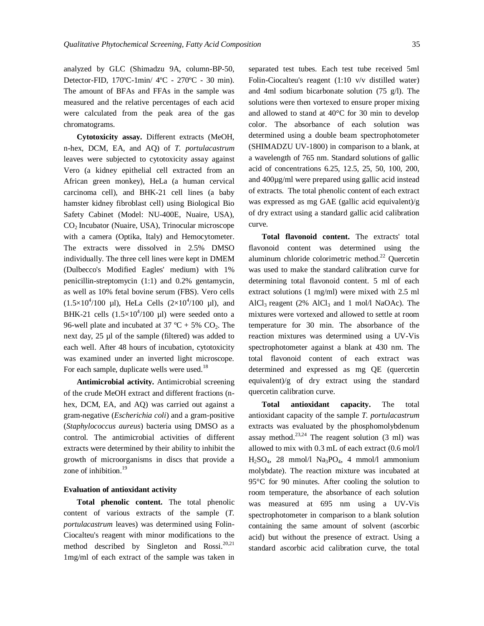analyzed by GLC (Shimadzu 9A, column-BP-50, Detector-FID, 170ºC-1min/ 4ºC - 270ºC - 30 min). The amount of BFAs and FFAs in the sample was measured and the relative percentages of each acid were calculated from the peak area of the gas chromatograms.

**Cytotoxicity assay.** Different extracts (MeOH, n-hex, DCM, EA, and AQ) of *T. portulacastrum* leaves were subjected to cytotoxicity assay against Vero (a kidney epithelial cell extracted from an African green monkey), HeLa (a human cervical carcinoma cell), and BHK-21 cell lines (a baby hamster kidney fibroblast cell) using Biological Bio Safety Cabinet (Model: NU-400E, Nuaire, USA), CO2 Incubator (Nuaire, USA), Trinocular microscope with a camera (Optika, Italy) and Hemocytometer. The extracts were dissolved in 2.5% DMSO individually. The three cell lines were kept in DMEM (Dulbecco's Modified Eagles' medium) with 1% penicillin-streptomycin (1:1) and 0.2% gentamycin, as well as 10% fetal bovine serum (FBS). Vero cells  $(1.5 \times 10^4/100 \text{ }\mu\text{I})$ , HeLa Cells  $(2 \times 10^4/100 \text{ }\mu\text{I})$ , and BHK-21 cells  $(1.5\times10^4/100 \text{ }\mu\text{I})$  were seeded onto a 96-well plate and incubated at 37 °C + 5%  $CO_2$ . The next day, 25 µl of the sample (filtered) was added to each well. After 48 hours of incubation, cytotoxicity was examined under an inverted light microscope. For each sample, duplicate wells were used.<sup>18</sup>

**Antimicrobial activity.** Antimicrobial screening of the crude MeOH extract and different fractions (nhex, DCM, EA, and AQ) was carried out against a gram-negative (*Escherichia coli*) and a gram-positive (*Staphylococcus aureus*) bacteria using DMSO as a control. The antimicrobial activities of different extracts were determined by their ability to inhibit the growth of microorganisms in discs that provide a zone of inhibition.<sup>19</sup>

### **Evaluation of antioxidant activity**

**Total phenolic content.** The total phenolic content of various extracts of the sample (*T. portulacastrum* leaves) was determined using Folin-Ciocalteu's reagent with minor modifications to the method described by Singleton and Rossi.<sup>20,21</sup> 1mg/ml of each extract of the sample was taken in separated test tubes. Each test tube received 5ml Folin-Ciocalteu's reagent (1:10 v/v distilled water) and 4ml sodium bicarbonate solution (75 g/l). The solutions were then vortexed to ensure proper mixing and allowed to stand at 40°C for 30 min to develop color. The absorbance of each solution was determined using a double beam spectrophotometer (SHIMADZU UV-1800) in comparison to a blank, at a wavelength of 765 nm. Standard solutions of gallic acid of concentrations 6.25, 12.5, 25, 50, 100, 200, and 400µg/ml were prepared using gallic acid instead of extracts. The total phenolic content of each extract was expressed as mg GAE (gallic acid equivalent)/g of dry extract using a standard gallic acid calibration curve.

**Total flavonoid content.** The extracts' total flavonoid content was determined using the aluminum chloride colorimetric method. $^{22}$  Ouercetin was used to make the standard calibration curve for determining total flavonoid content. 5 ml of each extract solutions (1 mg/ml) were mixed with 2.5 ml AlCl<sub>3</sub> reagent (2% AlCl<sub>3</sub> and 1 mol/l NaOAc). The mixtures were vortexed and allowed to settle at room temperature for 30 min. The absorbance of the reaction mixtures was determined using a UV-Vis spectrophotometer against a blank at 430 nm. The total flavonoid content of each extract was determined and expressed as mg QE (quercetin equivalent)/g of dry extract using the standard quercetin calibration curve.

**Total antioxidant capacity.** The total antioxidant capacity of the sample *T. portulacastrum* extracts was evaluated by the phosphomolybdenum assay method.<sup>23,24</sup> The reagent solution  $(3 \text{ ml})$  was allowed to mix with 0.3 mL of each extract (0.6 mol/l  $H<sub>2</sub>SO<sub>4</sub>$ , 28 mmol/l  $Na<sub>3</sub>PO<sub>4</sub>$ , 4 mmol/l ammonium molybdate). The reaction mixture was incubated at 95°C for 90 minutes. After cooling the solution to room temperature, the absorbance of each solution was measured at 695 nm using a UV-Vis spectrophotometer in comparison to a blank solution containing the same amount of solvent (ascorbic acid) but without the presence of extract. Using a standard ascorbic acid calibration curve, the total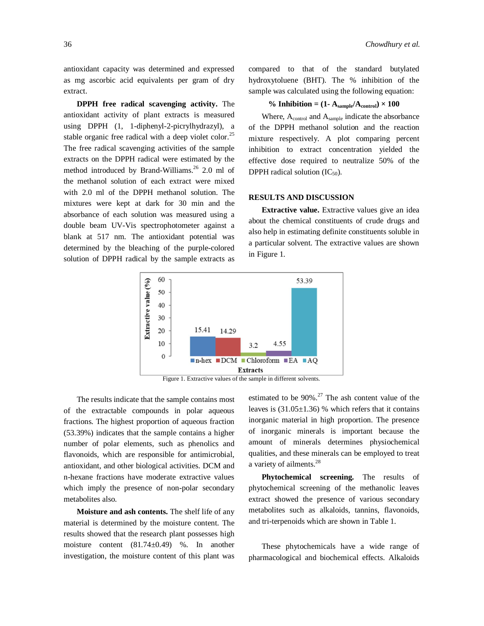antioxidant capacity was determined and expressed as mg ascorbic acid equivalents per gram of dry extract.

**DPPH free radical scavenging activity.** The antioxidant activity of plant extracts is measured using DPPH (1, 1-diphenyl-2-picrylhydrazyl), a stable organic free radical with a deep violet color.<sup>25</sup> The free radical scavenging activities of the sample extracts on the DPPH radical were estimated by the method introduced by Brand-Williams. 26 2.0 ml of the methanol solution of each extract were mixed with 2.0 ml of the DPPH methanol solution. The mixtures were kept at dark for 30 min and the absorbance of each solution was measured using a double beam UV-Vis spectrophotometer against a blank at 517 nm. The antioxidant potential was determined by the bleaching of the purple-colored solution of DPPH radical by the sample extracts as

compared to that of the standard butylated hydroxytoluene (BHT). The % inhibition of the sample was calculated using the following equation:

# % **Inhibition** =  $(1 - A_{sample}/A_{control}) \times 100$

Where,  $A_{control}$  and  $A_{sample}$  indicate the absorbance of the DPPH methanol solution and the reaction mixture respectively. A plot comparing percent inhibition to extract concentration yielded the effective dose required to neutralize 50% of the DPPH radical solution  $(IC_{50})$ .

# **RESULTS AND DISCUSSION**

**Extractive value.** Extractive values give an idea about the chemical constituents of crude drugs and also help in estimating definite constituents soluble in a particular solvent. The extractive values are shown in Figure 1.



Figure 1. Extractive values of the sample in different solvents.

The results indicate that the sample contains most of the extractable compounds in polar aqueous fractions. The highest proportion of aqueous fraction (53.39%) indicates that the sample contains a higher number of polar elements, such as phenolics and flavonoids, which are responsible for antimicrobial, antioxidant, and other biological activities. DCM and n-hexane fractions have moderate extractive values which imply the presence of non-polar secondary metabolites also.

**Moisture and ash contents.** The shelf life of any material is determined by the moisture content. The results showed that the research plant possesses high moisture content (81.74±0.49) %. In another investigation, the moisture content of this plant was

estimated to be  $90\%$ .<sup>27</sup> The ash content value of the leaves is  $(31.05 \pm 1.36)$  % which refers that it contains inorganic material in high proportion. The presence of inorganic minerals is important because the amount of minerals determines physiochemical qualities, and these minerals can be employed to treat a variety of ailments.<sup>28</sup>

**Phytochemical screening.** The results of phytochemical screening of the methanolic leaves extract showed the presence of various secondary metabolites such as alkaloids, tannins, flavonoids, and tri-terpenoids which are shown in Table 1.

These phytochemicals have a wide range of pharmacological and biochemical effects. Alkaloids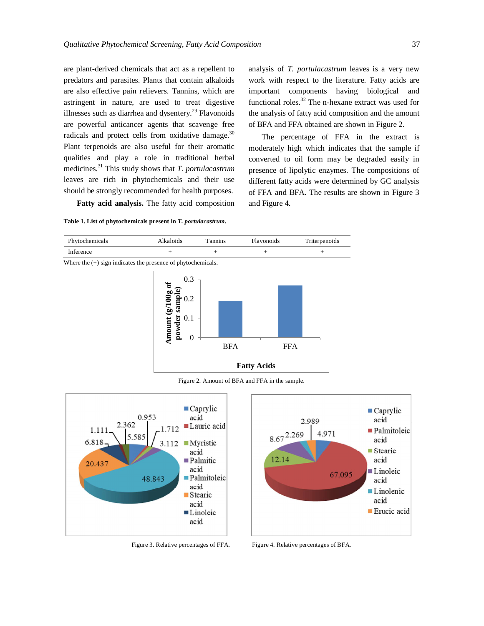are plant-derived chemicals that act as a repellent to predators and parasites. Plants that contain alkaloids are also effective pain relievers. Tannins, which are astringent in nature, are used to treat digestive illnesses such as diarrhea and dysentery.<sup>29</sup> Flavonoids are powerful anticancer agents that scavenge free radicals and protect cells from oxidative damage.<sup>30</sup> Plant terpenoids are also useful for their aromatic qualities and play a role in traditional herbal medicines. <sup>31</sup> This study shows that *T. portulacastrum* leaves are rich in phytochemicals and their use should be strongly recommended for health purposes.

**Fatty acid analysis.** The fatty acid composition

# **Table 1. List of phytochemicals present in** *T. portulacastrum.*

analysis of *T. portulacastrum* leaves is a very new work with respect to the literature. Fatty acids are important components having biological and functional roles. $32$  The n-hexane extract was used for the analysis of fatty acid composition and the amount of BFA and FFA obtained are shown in Figure 2.

The percentage of FFA in the extract is moderately high which indicates that the sample if converted to oil form may be degraded easily in presence of lipolytic enzymes. The compositions of different fatty acids were determined by GC analysis of FFA and BFA. The results are shown in Figure 3 and Figure 4.



Figure 2. Amount of BFA and FFA in the sample.



Figure 3. Relative percentages of FFA. Figure 4. Relative percentages of BFA.

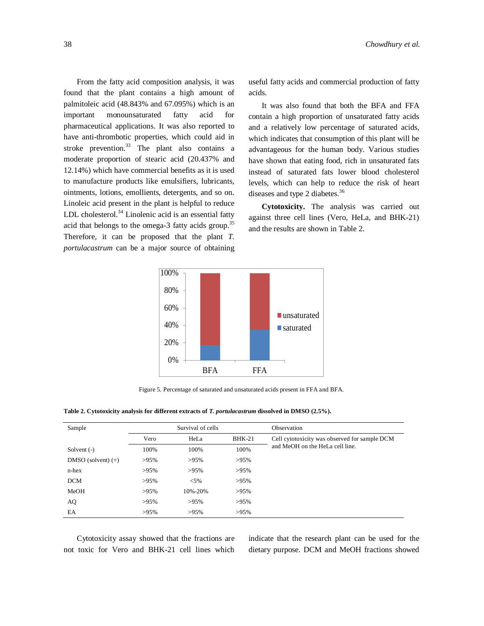From the fatty acid composition analysis, it was found that the plant contains a high amount of palmitoleic acid (48.843% and 67.095%) which is an important monounsaturated fatty acid for pharmaceutical applications. It was also reported to have anti-thrombotic properties, which could aid in stroke prevention.<sup>33</sup> The plant also contains a moderate proportion of stearic acid (20.437% and 12.14%) which have commercial benefits as it is used to manufacture products like emulsifiers, lubricants, ointments, lotions, emollients, detergents, and so on. Linoleic acid present in the plant is helpful to reduce LDL cholesterol.<sup>34</sup> Linolenic acid is an essential fatty acid that belongs to the omega-3 fatty acids group.<sup>35</sup> Therefore, it can be proposed that the plant *T. portulacastrum* can be a major source of obtaining useful fatty acids and commercial production of fatty acids.

It was also found that both the BFA and FFA contain a high proportion of unsaturated fatty acids and a relatively low percentage of saturated acids, which indicates that consumption of this plant will be advantageous for the human body. Various studies have shown that eating food, rich in unsaturated fats instead of saturated fats lower blood cholesterol levels, which can help to reduce the risk of heart diseases and type 2 diabetes.<sup>36</sup>

**Cytotoxicity.** The analysis was carried out against three cell lines (Vero, HeLa, and BHK-21) and the results are shown in Table 2.



Figure 5. Percentage of saturated and unsaturated acids present in FFA and BFA.

| Table 2. Cytotoxicity analysis for different extracts of T. portulacastrum dissolved in DMSO (2.5%). |  |  |  |  |  |  |  |  |
|------------------------------------------------------------------------------------------------------|--|--|--|--|--|--|--|--|
|------------------------------------------------------------------------------------------------------|--|--|--|--|--|--|--|--|

| Sample               | Survival of cells        |         |         | Observation                                   |  |  |  |  |
|----------------------|--------------------------|---------|---------|-----------------------------------------------|--|--|--|--|
|                      | $BHK-21$<br>Vero<br>HeLa |         |         | Cell cytotoxicity was observed for sample DCM |  |  |  |  |
| Solvent $(-)$        | 100%                     | 100%    |         | and MeOH on the HeLa cell line.               |  |  |  |  |
| DMSO (solvent) $(+)$ | $>95\%$                  | $>95\%$ | $>95\%$ |                                               |  |  |  |  |
| $n$ -hex             | $>95\%$                  | $>95\%$ | $>95\%$ |                                               |  |  |  |  |
| <b>DCM</b>           | $>95\%$                  | $< 5\%$ | $>95\%$ |                                               |  |  |  |  |
| MeOH                 | $>95\%$                  | 10%-20% | $>95\%$ |                                               |  |  |  |  |
| AQ                   | $>95\%$                  | $>95\%$ | $>95\%$ |                                               |  |  |  |  |
| EA                   | $>95\%$                  | $>95\%$ | $>95\%$ |                                               |  |  |  |  |

Cytotoxicity assay showed that the fractions are not toxic for Vero and BHK-21 cell lines which indicate that the research plant can be used for the dietary purpose. DCM and MeOH fractions showed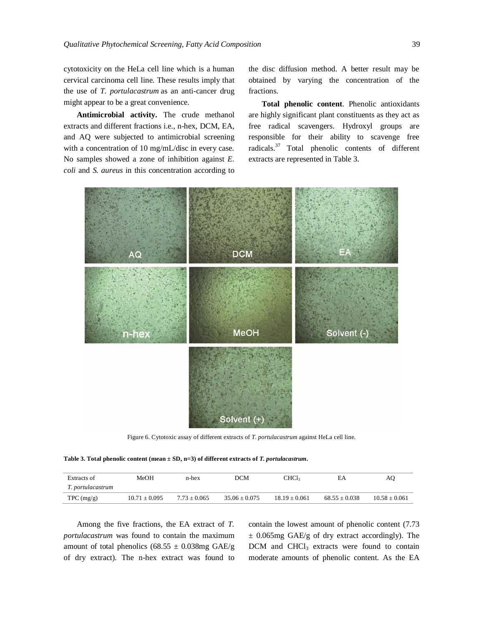cytotoxicity on the HeLa cell line which is a human cervical carcinoma cell line. These results imply that the use of *T. portulacastrum* as an anti-cancer drug might appear to be a great convenience.

**Antimicrobial activity.** The crude methanol extracts and different fractions i.e., n-hex, DCM, EA, and AQ were subjected to antimicrobial screening with a concentration of 10 mg/mL/disc in every case. No samples showed a zone of inhibition against *E. coli* and *S. aureus* in this concentration according to the disc diffusion method. A better result may be obtained by varying the concentration of the fractions.

**Total phenolic content**. Phenolic antioxidants are highly significant plant constituents as they act as free radical scavengers. Hydroxyl groups are responsible for their ability to scavenge free radicals. $37$  Total phenolic contents of different extracts are represented in Table 3.



Figure 6. Cytotoxic assay of different extracts of *T. portulacastrum* against HeLa cell line.

**Table 3. Total phenolic content (mean ± SD, n=3) of different extracts of** *T. portulacastrum.*

| Extracts of       | MeOH            | n-hex          | DCM             | CHCl <sub>3</sub> | ЕA              | AO                |
|-------------------|-----------------|----------------|-----------------|-------------------|-----------------|-------------------|
| T. portulacastrum |                 |                |                 |                   |                 |                   |
| $TPC$ (mg/g)      | $10.71 + 0.095$ | $7.73 + 0.065$ | $35.06 + 0.075$ | $18.19 + 0.061$   | $68.55 + 0.038$ | $10.58 \pm 0.061$ |

Among the five fractions, the EA extract of *T. portulacastrum* was found to contain the maximum amount of total phenolics (68.55  $\pm$  0.038mg GAE/g of dry extract). The n-hex extract was found to contain the lowest amount of phenolic content (7.73  $\pm$  0.065mg GAE/g of dry extract accordingly). The DCM and CHCl<sub>3</sub> extracts were found to contain moderate amounts of phenolic content. As the EA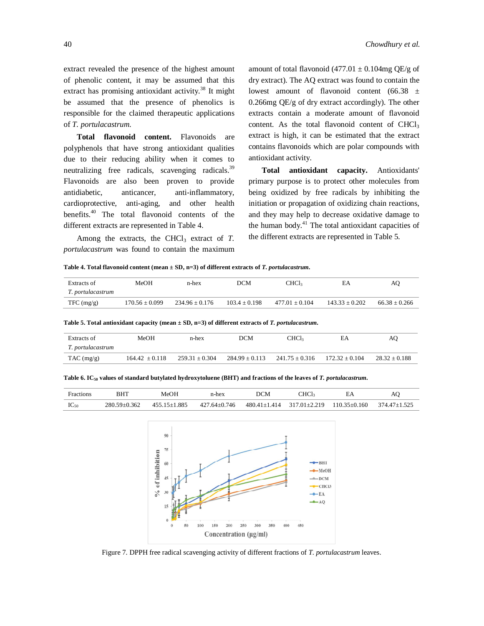extract revealed the presence of the highest amount of phenolic content, it may be assumed that this extract has promising antioxidant activity.<sup>38</sup> It might be assumed that the presence of phenolics is responsible for the claimed therapeutic applications of *T. portulacastrum*.

**Total flavonoid content.** Flavonoids are polyphenols that have strong antioxidant qualities due to their reducing ability when it comes to neutralizing free radicals, scavenging radicals.<sup>39</sup> Flavonoids are also been proven to provide antidiabetic, anticancer, anti-inflammatory, cardioprotective, anti-aging, and other health benefits. <sup>40</sup> The total flavonoid contents of the different extracts are represented in Table 4.

Among the extracts, the CHCl<sub>3</sub> extract of  $T$ . *portulacastrum* was found to contain the maximum amount of total flavonoid (477.01  $\pm$  0.104mg QE/g of dry extract). The AQ extract was found to contain the lowest amount of flavonoid content (66.38 ± 0.266mg QE/g of dry extract accordingly). The other extracts contain a moderate amount of flavonoid content. As the total flavonoid content of  $CHCl<sub>3</sub>$ extract is high, it can be estimated that the extract contains flavonoids which are polar compounds with antioxidant activity.

**Total antioxidant capacity.** Antioxidants' primary purpose is to protect other molecules from being oxidized by free radicals by inhibiting the initiation or propagation of oxidizing chain reactions, and they may help to decrease oxidative damage to the human body. <sup>41</sup> The total antioxidant capacities of the different extracts are represented in Table 5.

**Table 4. Total flavonoid content (mean ± SD, n=3) of different extracts of** *T. portulacastrum.*

| Extracts of       | MeOH             | n-hex              | <b>DCM</b>      | CHC <sub>1</sub> | EΑ               | AO              |
|-------------------|------------------|--------------------|-----------------|------------------|------------------|-----------------|
| T. portulacastrum |                  |                    |                 |                  |                  |                 |
| TFC (mg/g)        | $170.56 + 0.099$ | $234.96 \pm 0.176$ | $103.4 + 0.198$ | $477.01 + 0.104$ | $143.33 + 0.202$ | $66.38 + 0.266$ |

| Extracts of<br>T. portulacastrum | MeOH             | n-hex            | DCM                | CHCl3            | EΑ               | AO              |
|----------------------------------|------------------|------------------|--------------------|------------------|------------------|-----------------|
| $TAC$ (mg/g)                     | $164.42 + 0.118$ | $259.31 + 0.304$ | $284.99 \pm 0.113$ | $241.75 + 0.316$ | $172.32 + 0.104$ | $28.32 + 0.188$ |

**Table 5. Total antioxidant capacity (mean ± SD, n=3) of different extracts of** *T. portulacastrum.*

| <b>Fractions</b> |                    | MeOH               | n-hex        | DCM | "HCl2 |                                                                             | AC |
|------------------|--------------------|--------------------|--------------|-----|-------|-----------------------------------------------------------------------------|----|
| $IC_{50}$        | $280.59 \pm 0.362$ | $455.15 \pm 1.885$ | 427.64±0.746 |     |       | $480.41 \pm 1.414$ $317.01 \pm 2.219$ $110.35 \pm 0.160$ $374.47 \pm 1.525$ |    |



Figure 7. DPPH free radical scavenging activity of different fractions of *T. portulacastrum* leaves.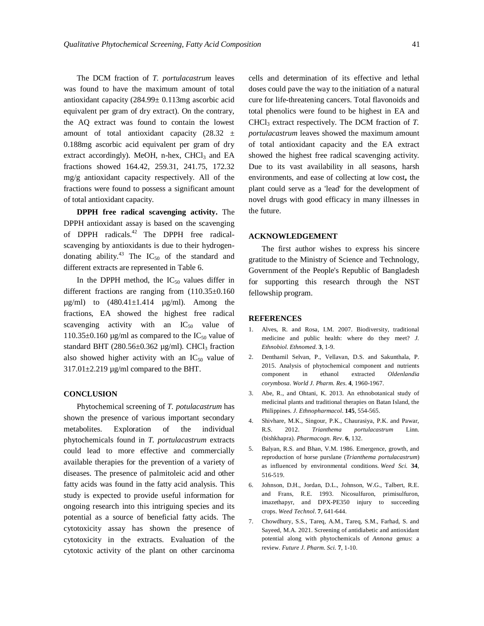The DCM fraction of *T. portulacastrum* leaves was found to have the maximum amount of total antioxidant capacity (284.99± 0.113mg ascorbic acid equivalent per gram of dry extract). On the contrary, the AQ extract was found to contain the lowest amount of total antioxidant capacity  $(28.32 \pm$ 0.188mg ascorbic acid equivalent per gram of dry extract accordingly). MeOH, n-hex,  $CHCl<sub>3</sub>$  and EA fractions showed 164.42, 259.31, 241.75, 172.32 mg/g antioxidant capacity respectively. All of the fractions were found to possess a significant amount of total antioxidant capacity.

**DPPH free radical scavenging activity.** The DPPH antioxidant assay is based on the scavenging of DPPH radicals. <sup>42</sup> The DPPH free radicalscavenging by antioxidants is due to their hydrogendonating ability.<sup>43</sup> The  $IC_{50}$  of the standard and different extracts are represented in Table 6.

In the DPPH method, the  $IC_{50}$  values differ in different fractions are ranging from (110.35±0.160  $\mu$ g/ml) to  $(480.41 \pm 1.414 \mu$ g/ml). Among the fractions, EA showed the highest free radical scavenging activity with an  $IC_{50}$  value of 110.35 $\pm$ 0.160 µg/ml as compared to the IC<sub>50</sub> value of standard BHT (280.56 $\pm$ 0.362 µg/ml). CHCl<sub>3</sub> fraction also showed higher activity with an  $IC_{50}$  value of 317.01±2.219 µg/ml compared to the BHT.

#### **CONCLUSION**

Phytochemical screening of *T. potulacastrum* has shown the presence of various important secondary metabolites. Exploration of the individual phytochemicals found in *T. portulacastrum* extracts could lead to more effective and commercially available therapies for the prevention of a variety of diseases. The presence of palmitoleic acid and other fatty acids was found in the fatty acid analysis. This study is expected to provide useful information for ongoing research into this intriguing species and its potential as a source of beneficial fatty acids. The cytotoxicity assay has shown the presence of cytotoxicity in the extracts. Evaluation of the cytotoxic activity of the plant on other carcinoma

cells and determination of its effective and lethal doses could pave the way to the initiation of a natural cure for life-threatening cancers. Total flavonoids and total phenolics were found to be highest in EA and CHCl<sup>3</sup> extract respectively. The DCM fraction of *T. portulacastrum* leaves showed the maximum amount of total antioxidant capacity and the EA extract showed the highest free radical scavenging activity. Due to its vast availability in all seasons, harsh environments, and ease of collecting at low cost**,** the plant could serve as a 'lead' for the development of novel drugs with good efficacy in many illnesses in the future.

## **ACKNOWLEDGEMENT**

The first author wishes to express his sincere gratitude to the Ministry of Science and Technology, Government of the People's Republic of Bangladesh for supporting this research through the NST fellowship program.

## **REFERENCES**

- 1. Alves, R. and Rosa, I.M. 2007. Biodiversity, traditional medicine and public health: where do they meet? *J. Ethnobiol. Ethnomed.* **3**, 1-9.
- 2. Denthamil Selvan, P., Vellavan, D.S. and Sakunthala, P. 2015. Analysis of phytochemical component and nutrients component in ethanol extracted *Oldenlandia corymbosa*. *World J. Pharm. Res*. **4**, 1960-1967.
- 3. Abe, R., and Ohtani, K. 2013. An ethnobotanical study of medicinal plants and traditional therapies on Batan Island, the Philippines. *J. Ethnopharmacol*. **145**, 554-565.
- 4. Shivhare, M.K., Singour, P.K., Chaurasiya, P.K. and Pawar, R.S. 2012. *Trianthema portulacastrum* Linn. (bishkhapra). *Pharmacogn. Rev*. **6**, 132.
- 5. Balyan, R.S. and Bhan, V.M. 1986. Emergence, growth, and reproduction of horse purslane (*Trianthema portulacastrum*) as influenced by environmental conditions. *Weed Sci.* **34**, 516-519.
- 6. Johnson, D.H., Jordan, D.L., Johnson, W.G., Talbert, R.E. and Frans, R.E. 1993. Nicosulfuron, primisulfuron, imazethapyr, and DPX-PE350 injury to succeeding crops. *Weed Technol*. **7**, 641-644.
- 7. Chowdhury, S.S., Tareq, A.M., Tareq, S.M., Farhad, S. and Sayeed, M.A. 2021. Screening of antidiabetic and antioxidant potential along with phytochemicals of *Annona* genus: a review. *Future J. Pharm. Sci.* **7**, 1-10.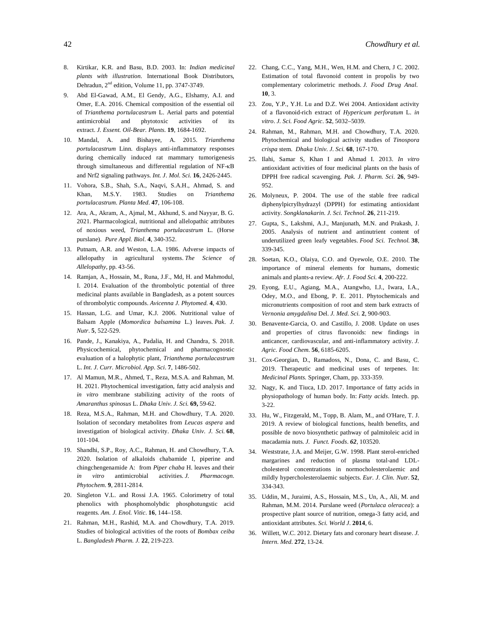- 8. Kirtikar, K.R. and Basu, B.D. 2003. In: *Indian medicinal plants with illustration.* International Book Distributors, Dehradun, 2<sup>nd</sup> edition, Volume 11, pp. 3747-3749.
- 9. Abd El-Gawad, A.M., El Gendy, A.G., Elshamy, A.I. and Omer, E.A. 2016. Chemical composition of the essential oil of *Trianthema portulacastrum* L. Aerial parts and potential antimicrobial and phytotoxic activities of its extract. *J. Essent. Oil-Bear. Plants.* **19**, 1684-1692.
- 10. Mandal, A. and Bishayee, A. 2015. *Trianthema portulacastrum* Linn. displays anti-inflammatory responses during chemically induced rat mammary tumorigenesis through simultaneous and differential regulation of NF-κB and Nrf2 signaling pathways. *Int. J. Mol. Sci.* **16**, 2426-2445.
- 11. Vohora, S.B., Shah, S.A., Naqvi, S.A.H., Ahmad, S. and Khan, M.S.Y. 1983. Studies on *Trianthema portulacastrum*. *Planta Med*. **47**, 106-108.
- 12. Ara, A., Akram, A., Ajmal, M., Akhund, S. and Nayyar, B. G. 2021. Pharmacological, nutritional and allelopathic attributes of noxious weed, *Trianthema portulacastrum* L. (Horse purslane). *Pure Appl. Biol.* **4**, 340-352.
- 13. Putnam, A.R. and Weston, L.A. 1986. Adverse impacts of allelopathy in agricultural systems. *The Science of Allelopathy,* pp. 43-56.
- 14. Ramjan, A., Hossain, M., Runa, J.F., Md, H. and Mahmodul, I. 2014. Evaluation of the thrombolytic potential of three medicinal plants available in Bangladesh, as a potent sources of thrombolytic compounds. *Avicenna J. Phytomed.* **4**, 430.
- 15. Hassan, L.G. and Umar, K.J. 2006. Nutritional value of Balsam Apple (*Momordica balsamina* L.) leaves. *Pak. J. Nutr*. **5**, 522-529.
- 16. Pande, J., Kanakiya, A., Padalia, H. and Chandra, S. 2018. Physicochemical, phytochemical and pharmacognostic evaluation of a halophytic plant, *Trianthema portulacastrum* L. *Int. J. Curr. Microbiol. App. Sci*. **7**, 1486-502.
- 17. Al Mamun, M.R., Ahmed, T., Reza, M.S.A. and Rahman, M. H. 2021. Phytochemical investigation, fatty acid analysis and *in vitro* membrane stabilizing activity of the roots of *Amaranthus spinosus* L. *Dhaka Univ. J. Sci.* **69,** 59-62.
- 18. Reza, M.S.A., Rahman, M.H. and Chowdhury, T.A. 2020. Isolation of secondary metabolites from *Leucas aspera* and investigation of biological activity. *Dhaka Univ. J. Sci.* **68**, 101-104.
- 19. Shandhi, S.P., Roy, A.C., Rahman, H. and Chowdhury, T.A. 2020. Isolation of alkaloids chabamide I, piperine and chingchengenamide A: from *Piper chaba* H. leaves and their *in vitro* antimicrobial activities. *J. Pharmacogn. Phytochem.* **9**, 2811-2814.
- 20. Singleton V.L. and Rossi J.A. 1965. Colorimetry of total phenolics with phosphomolybdic phosphotungstic acid reagents. *Am. J. Enol. Vitic*. **16**, 144–158.
- 21. Rahman, M.H., Rashid, M.A. and Chowdhury, T.A. 2019. Studies of biological activities of the roots of *Bombax ceiba* L. *Bangladesh Pharm. J.* **22**, 219-223.
- 22. Chang, C.C., Yang, M.H., Wen, H.M. and Chern, J C. 2002. Estimation of total flavonoid content in propolis by two complementary colorimetric methods. *J. Food Drug Anal*. **10**, 3.
- 23. Zou, Y.P., Y.H. Lu and D.Z. Wei 2004. Antioxidant activity of a flavonoid-rich extract of *Hypericum perforatum* L. *in vitro*. *J. Sci. Food Agric.* **52**, 5032–5039.
- 24. Rahman, M., Rahman, M.H. and Chowdhury, T.A. 2020. Phytochemical and biological activity studies of *Tinospora crispa* stem. *Dhaka Univ. J. Sci.* **68**, 167-170.
- 25. Ilahi, Samar S, Khan I and Ahmad I. 2013. *In vitro*  antioxidant activities of four medicinal plants on the basis of DPPH free radical scavenging. *Pak. J. Pharm. Sci.* **26**, 949- 952.
- 26. Molyneux, P. 2004. The use of the stable free radical diphenylpicrylhydrazyl (DPPH) for estimating antioxidant activity. *Songklanakarin. J. Sci. Technol*. **26**, 211-219.
- 27. Gupta, S., Lakshmi, A.J., Manjunath, M.N. and Prakash, J. 2005. Analysis of nutrient and antinutrient content of underutilized green leafy vegetables. *Food Sci. Technol.* **38**, 339-345.
- 28. Soetan, K.O., Olaiya, C.O. and Oyewole, O.E. 2010. The importance of mineral elements for humans, domestic animals and plants-a review. *Afr. J. Food Sci.* **4**, 200-222.
- 29. Eyong, E.U., Agiang, M.A., Atangwho, I.J., Iwara, I.A., Odey, M.O., and Ebong, P. E. 2011. Phytochemicals and micronutrients composition of root and stem bark extracts of *Vernonia amygdalina* Del. *J. Med. Sci.* **2**, 900-903.
- 30. Benavente-Garcia, O. and Castillo, J. 2008. Update on uses and properties of citrus flavonoids: new findings in anticancer, cardiovascular, and anti-inflammatory activity. *J. Agric. Food Chem.* **56**, 6185-6205.
- 31. Cox-Georgian, D., Ramadoss, N., Dona, C. and Basu, C. 2019. Therapeutic and medicinal uses of terpenes. In: *Medicinal Plants.* Springer, Cham, pp. 333-359.
- 32. Nagy, K. and Tiuca, I.D. 2017. Importance of fatty acids in physiopathology of human body. In: *Fatty acids*. Intech. pp. 3-22.
- 33. Hu, W., Fitzgerald, M., Topp, B. Alam, M., and O'Hare, T. J. 2019. A review of biological functions, health benefits, and possible de novo biosynthetic pathway of palmitoleic acid in macadamia nuts. *J. Funct. Foods*. *62*, 103520.
- 34. Weststrate, J.A. and Meijer, G.W. 1998. Plant sterol-enriched margarines and reduction of plasma total-and LDLcholesterol concentrations in normocholesterolaemic and mildly hypercholesterolaemic subjects. *Eur. J. Clin. Nutr.* **52**, 334-343.
- 35. Uddin, M., Juraimi, A.S., Hossain, M.S., Un, A., Ali, M. and Rahman, M.M. 2014. Purslane weed (*Portulaca oleracea*): a prospective plant source of nutrition, omega-3 fatty acid, and antioxidant attributes. *Sci. World J.* **2014**, 6.
- 36. Willett, W.C. 2012. Dietary fats and coronary heart disease. *J. Intern. Med.* **272**, 13-24.